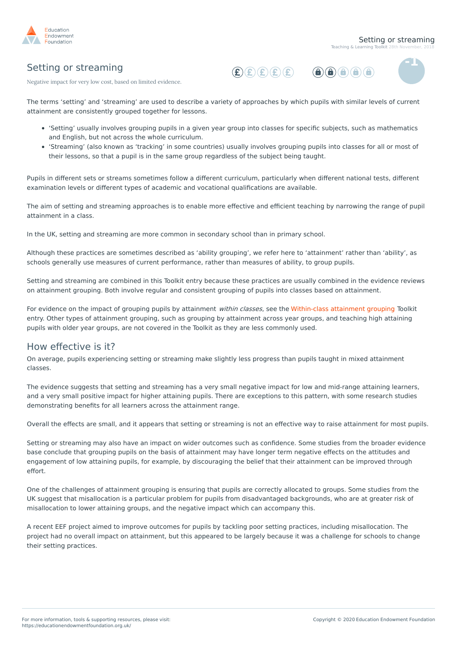

 $\bigcirc$   $\bigcirc$   $\bigcirc$   $\bigcirc$   $\bigcirc$   $\bigcirc$ 

## Setting or streaming





Negative impact for very low cost, based on limited evidence.

The terms 'setting' and 'streaming' are used to describe a variety of approaches by which pupils with similar levels of current attainment are consistently grouped together for lessons.

- 'Setting' usually involves grouping pupils in a given year group into classes for specific subjects, such as mathematics and English, but not across the whole curriculum.
- 'Streaming' (also known as 'tracking' in some countries) usually involves grouping pupils into classes for all or most of their lessons, so that a pupil is in the same group regardless of the subject being taught.

Pupils in different sets or streams sometimes follow a different curriculum, particularly when different national tests, different examination levels or different types of academic and vocational qualifications are available.

The aim of setting and streaming approaches is to enable more effective and efficient teaching by narrowing the range of pupil attainment in a class.

In the UK, setting and streaming are more common in secondary school than in primary school.

Although these practices are sometimes described as 'ability grouping', we refer here to 'attainment' rather than 'ability', as schools generally use measures of current performance, rather than measures of ability, to group pupils.

Setting and streaming are combined in this Toolkit entry because these practices are usually combined in the evidence reviews on attainment grouping. Both involve regular and consistent grouping of pupils into classes based on attainment.

For evidence on the impact of grouping pupils by attainment *within classes*, see the [Within-class](https://educationendowmentfoundation.org.uk/evidence-summaries/teaching-learning-toolkit/within-class-attainment-grouping/) attainment grouping Toolkit entry. Other types of attainment grouping, such as grouping by attainment across year groups, and teaching high attaining pupils with older year groups, are not covered in the Toolkit as they are less commonly used.

## How effective is it?

On average, pupils experiencing setting or streaming make slightly less progress than pupils taught in mixed attainment classes.

The evidence suggests that setting and streaming has a very small negative impact for low and mid-range attaining learners, and a very small positive impact for higher attaining pupils. There are exceptions to this pattern, with some research studies demonstrating benefits for all learners across the attainment range.

Overall the effects are small, and it appears that setting or streaming is not an effective way to raise attainment for most pupils.

Setting or streaming may also have an impact on wider outcomes such as confidence. Some studies from the broader evidence base conclude that grouping pupils on the basis of attainment may have longer term negative effects on the attitudes and engagement of low attaining pupils, for example, by discouraging the belief that their attainment can be improved through effort.

One of the challenges of attainment grouping is ensuring that pupils are correctly allocated to groups. Some studies from the UK suggest that misallocation is a particular problem for pupils from disadvantaged backgrounds, who are at greater risk of misallocation to lower attaining groups, and the negative impact which can accompany this.

A recent EEF project aimed to improve outcomes for pupils by tackling poor setting practices, including misallocation. The project had no overall impact on attainment, but this appeared to be largely because it was a challenge for schools to change their setting practices.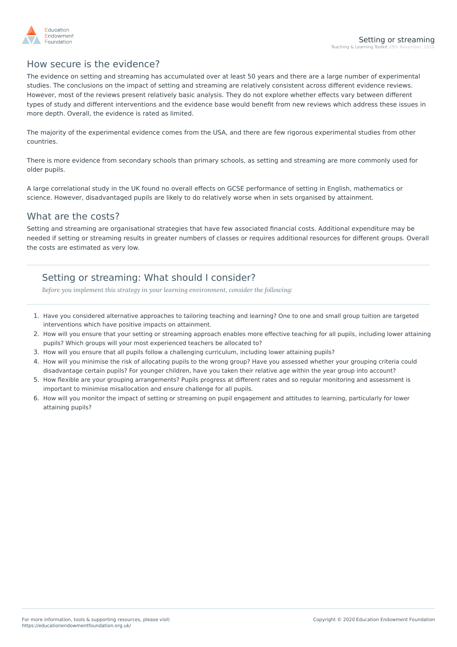

### How secure is the evidence?

The evidence on setting and streaming has accumulated over at least 50 years and there are a large number of experimental studies. The conclusions on the impact of setting and streaming are relatively consistent across different evidence reviews. However, most of the reviews present relatively basic analysis. They do not explore whether effects vary between different types of study and different interventions and the evidence base would benefit from new reviews which address these issues in more depth. Overall, the evidence is rated as limited.

The majority of the experimental evidence comes from the USA, and there are few rigorous experimental studies from other countries.

There is more evidence from secondary schools than primary schools, as setting and streaming are more commonly used for older pupils.

A large correlational study in the UK found no overall effects on GCSE performance of setting in English, mathematics or science. However, disadvantaged pupils are likely to do relatively worse when in sets organised by attainment.

### What are the costs?

Setting and streaming are organisational strategies that have few associated financial costs. Additional expenditure may be needed if setting or streaming results in greater numbers of classes or requires additional resources for different groups. Overall the costs are estimated as very low.

# Setting or streaming: What should I consider?

*Before you implement this strategy in your learning environment, consider the following:*

- 1. Have you considered alternative approaches to tailoring teaching and learning? One to one and small group tuition are targeted interventions which have positive impacts on attainment.
- 2. How will you ensure that your setting or streaming approach enables more effective teaching for all pupils, including lower attaining pupils? Which groups will your most experienced teachers be allocated to?
- 3. How will you ensure that all pupils follow a challenging curriculum, including lower attaining pupils?
- 4. How will you minimise the risk of allocating pupils to the wrong group? Have you assessed whether your grouping criteria could disadvantage certain pupils? For younger children, have you taken their relative age within the year group into account?
- 5. How flexible are your grouping arrangements? Pupils progress at different rates and so regular monitoring and assessment is important to minimise misallocation and ensure challenge for all pupils.
- 6. How will you monitor the impact of setting or streaming on pupil engagement and attitudes to learning, particularly for lower attaining pupils?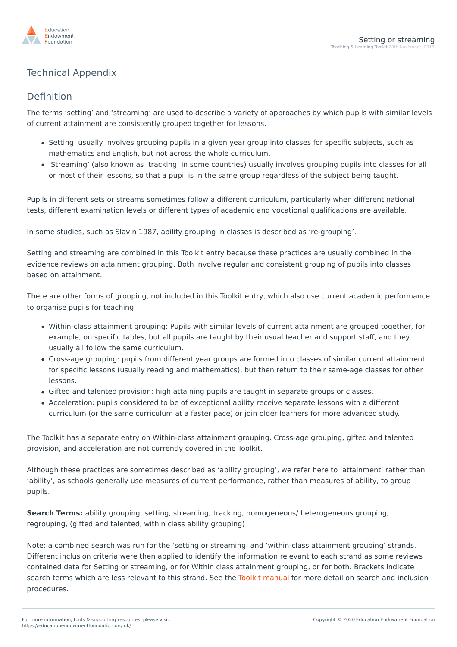

# Technical Appendix

## Definition

The terms 'setting' and 'streaming' are used to describe a variety of approaches by which pupils with similar levels of current attainment are consistently grouped together for lessons.

- Setting' usually involves grouping pupils in a given year group into classes for specific subjects, such as mathematics and English, but not across the whole curriculum.
- 'Streaming' (also known as 'tracking' in some countries) usually involves grouping pupils into classes for all or most of their lessons, so that a pupil is in the same group regardless of the subject being taught.

Pupils in different sets or streams sometimes follow a different curriculum, particularly when different national tests, different examination levels or different types of academic and vocational qualifications are available.

In some studies, such as Slavin 1987, ability grouping in classes is described as 're-grouping'.

Setting and streaming are combined in this Toolkit entry because these practices are usually combined in the evidence reviews on attainment grouping. Both involve regular and consistent grouping of pupils into classes based on attainment.

There are other forms of grouping, not included in this Toolkit entry, which also use current academic performance to organise pupils for teaching.

- Within-class attainment grouping: Pupils with similar levels of current attainment are grouped together, for example, on specific tables, but all pupils are taught by their usual teacher and support staff, and they usually all follow the same curriculum.
- Cross-age grouping: pupils from different year groups are formed into classes of similar current attainment for specific lessons (usually reading and mathematics), but then return to their same-age classes for other lessons.
- Gifted and talented provision: high attaining pupils are taught in separate groups or classes.
- Acceleration: pupils considered to be of exceptional ability receive separate lessons with a different curriculum (or the same curriculum at a faster pace) or join older learners for more advanced study.

The Toolkit has a separate entry on Within-class attainment grouping. Cross-age grouping, gifted and talented provision, and acceleration are not currently covered in the Toolkit.

Although these practices are sometimes described as 'ability grouping', we refer here to 'attainment' rather than 'ability', as schools generally use measures of current performance, rather than measures of ability, to group pupils.

**Search Terms:** ability grouping, setting, streaming, tracking, homogeneous/ heterogeneous grouping, regrouping, (gifted and talented, within class ability grouping)

Note: a combined search was run for the 'setting or streaming' and 'within-class attainment grouping' strands. Different inclusion criteria were then applied to identify the information relevant to each strand as some [reviews](https://educationendowmentfoundation.org.uk/) [contained](https://educationendowmentfoundation.org.uk/) data for Setting or streaming, or for Within class attainment grouping, or for both. Brackets indicate search terms which are less relevant to this strand. See the Toolkit [manual](https://educationendowmentfoundation.org.uk/public/files/Toolkit/Toolkit_Manual_2018.pdf) for more detail on search and inclusion procedures.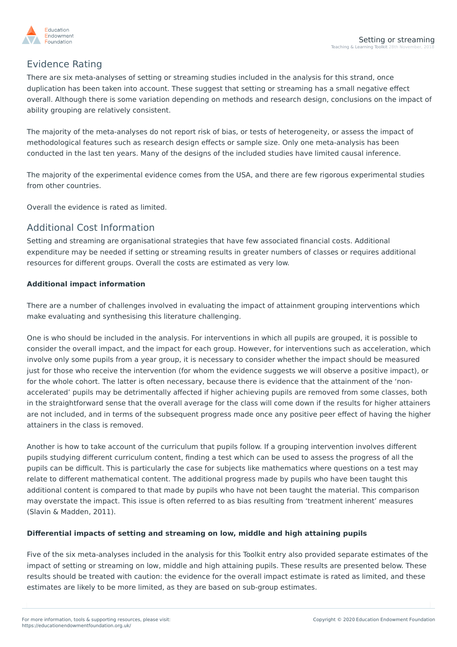

# Evidence Rating

There are six meta-analyses of setting or streaming studies included in the analysis for this strand, once duplication has been taken into account. These suggest that setting or streaming has a small negative effect overall. Although there is some variation depending on methods and research design, conclusions on the impact of ability grouping are relatively consistent.

The majority of the meta-analyses do not report risk of bias, or tests of heterogeneity, or assess the impact of methodological features such as research design effects or sample size. Only one meta-analysis has been conducted in the last ten years. Many of the designs of the included studies have limited causal inference.

The majority of the experimental evidence comes from the USA, and there are few rigorous experimental studies from other countries.

Overall the evidence is rated as limited.

## Additional Cost Information

Setting and streaming are organisational strategies that have few associated financial costs. Additional expenditure may be needed if setting or streaming results in greater numbers of classes or requires additional resources for different groups. Overall the costs are estimated as very low.

### **Additional impact information**

There are a number of challenges involved in evaluating the impact of attainment grouping interventions which make evaluating and synthesising this literature challenging.

One is who should be included in the analysis. For interventions in which all pupils are grouped, it is possible to consider the overall impact, and the impact for each group. However, for interventions such as acceleration, which involve only some pupils from a year group, it is necessary to consider whether the impact should be measured just for those who receive the intervention (for whom the evidence suggests we will observe a positive impact), or for the whole cohort. The latter is often necessary, because there is evidence that the attainment of the 'nonaccelerated' pupils may be detrimentally affected if higher achieving pupils are removed from some classes, both in the straightforward sense that the overall average for the class will come down if the results for higher attainers are not included, and in terms of the subsequent progress made once any positive peer effect of having the higher attainers in the class is removed.

Another is how to take account of the curriculum that pupils follow. If a grouping intervention involves different pupils studying different curriculum content, finding a test which can be used to assess the progress of all the pupils can be difficult. This is particularly the case for subjects like mathematics where questions on a test may relate to different mathematical content. The additional progress made by pupils who have been taught this additional content is compared to that made by pupils who have not been taught the material. This comparison may overstate the impact. This issue is often referred to as bias resulting from 'treatment inherent' measures (Slavin & Madden, 2011).

### **Differential impacts of setting and streaming on low, middle and high attaining pupils**

Five of the six meta-analyses included in the analysis for this Toolkit entry also provided separate estimates of the impact of setting or [streaming](https://educationendowmentfoundation.org.uk/) on low, middle and high attaining pupils. These results are pre[sented](https://educationendowmentfoundation.org.uk/) below. These results should be treated with caution: the evidence for the overall impact estimate is rated as limited, and these estimates are likely to be more limited, as they are based on sub-group estimates.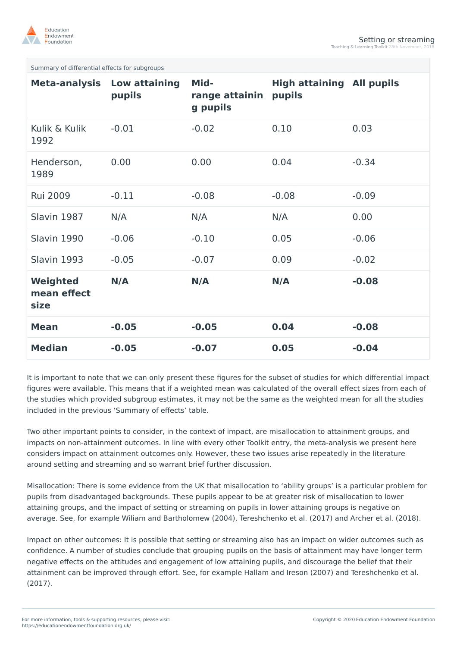

Summary of differential effects for subgroups

| <b>Meta-analysis</b>            | Low attaining<br>pupils | Mid-<br>range attainin<br>g pupils | <b>High attaining All pupils</b><br>pupils |         |
|---------------------------------|-------------------------|------------------------------------|--------------------------------------------|---------|
| Kulik & Kulik<br>1992           | $-0.01$                 | $-0.02$                            | 0.10                                       | 0.03    |
| Henderson,<br>1989              | 0.00                    | 0.00                               | 0.04                                       | $-0.34$ |
| <b>Rui 2009</b>                 | $-0.11$                 | $-0.08$                            | $-0.08$                                    | $-0.09$ |
| Slavin 1987                     | N/A                     | N/A                                | N/A                                        | 0.00    |
| Slavin 1990                     | $-0.06$                 | $-0.10$                            | 0.05                                       | $-0.06$ |
| Slavin 1993                     | $-0.05$                 | $-0.07$                            | 0.09                                       | $-0.02$ |
| Weighted<br>mean effect<br>size | N/A                     | N/A                                | N/A                                        | $-0.08$ |
| <b>Mean</b>                     | $-0.05$                 | $-0.05$                            | 0.04                                       | $-0.08$ |
| <b>Median</b>                   | $-0.05$                 | $-0.07$                            | 0.05                                       | $-0.04$ |

It is important to note that we can only present these figures for the subset of studies for which differential impact figures were available. This means that if a weighted mean was calculated of the overall effect sizes from each of the studies which provided subgroup estimates, it may not be the same as the weighted mean for all the studies included in the previous 'Summary of effects' table.

Two other important points to consider, in the context of impact, are misallocation to attainment groups, and impacts on non-attainment outcomes. In line with every other Toolkit entry, the meta-analysis we present here considers impact on attainment outcomes only. However, these two issues arise repeatedly in the literature around setting and streaming and so warrant brief further discussion.

Misallocation: There is some evidence from the UK that misallocation to 'ability groups' is a particular problem for pupils from disadvantaged backgrounds. These pupils appear to be at greater risk of misallocation to lower attaining groups, and the impact of setting or streaming on pupils in lower attaining groups is negative on average. See, for example Wiliam and Bartholomew (2004), Tereshchenko et al. (2017) and Archer et al. (2018).

Impact on other outcomes: It is possible that setting or streaming also has an impact on wider outcomes such as confidence. A number of studies conclude that grouping pupils on the basis of attainment may have longer term negative effects on the attitudes and engagement of low attaining pupils, and discourage the [belief](https://educationendowmentfoundation.org.uk/) that their [attainment](https://educationendowmentfoundation.org.uk/) can be improved through effort. See, for example Hallam and Ireson (2007) and Tereshchenko et al. (2017).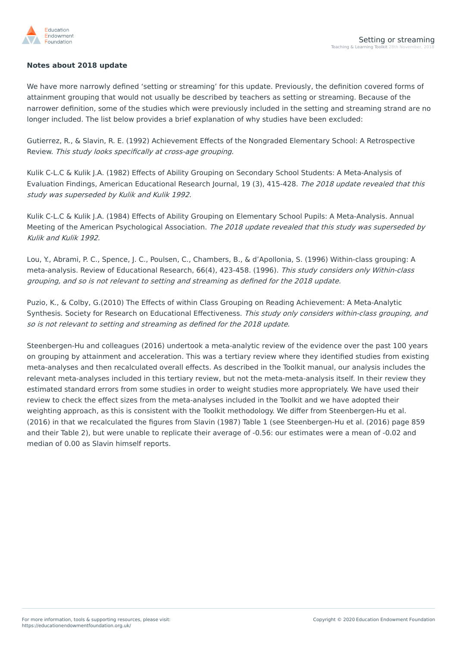

### **Notes about 2018 update**

We have more narrowly defined 'setting or streaming' for this update. Previously, the definition covered forms of attainment grouping that would not usually be described by teachers as setting or streaming. Because of the narrower definition, some of the studies which were previously included in the setting and streaming strand are no longer included. The list below provides a brief explanation of why studies have been excluded:

Gutierrez, R., & Slavin, R. E. (1992) Achievement Effects of the Nongraded Elementary School: A Retrospective Review. This study looks specifically at cross-age grouping.

Kulik C-L.C & Kulik J.A. (1982) Effects of Ability Grouping on Secondary School Students: A Meta-Analysis of Evaluation Findings, American Educational Research Journal, 19 (3), 415-428. The 2018 update revealed that this study was superseded by Kulik and Kulik 1992.

Kulik C-L.C & Kulik J.A. (1984) Effects of Ability Grouping on Elementary School Pupils: A Meta-Analysis. Annual Meeting of the American Psychological Association. The 2018 update revealed that this study was superseded by Kulik and Kulik 1992.

Lou, Y., Abrami, P. C., Spence, J. C., Poulsen, C., Chambers, B., & d'Apollonia, S. (1996) Within-class grouping: A meta-analysis. Review of Educational Research, 66(4), 423-458. (1996). This study considers only Within-class grouping, and so is not relevant to setting and streaming as defined for the 2018 update.

Puzio, K., & Colby, G.(2010) The Effects of within Class Grouping on Reading Achievement: A Meta-Analytic Synthesis. Society for Research on Educational Effectiveness. This study only considers within-class grouping, and so is not relevant to setting and streaming as defined for the 2018 update.

Steenbergen-Hu and colleagues (2016) undertook a meta-analytic review of the evidence over the past 100 years on grouping by attainment and acceleration. This was a tertiary review where they identified studies from existing meta-analyses and then recalculated overall effects. As described in the Toolkit manual, our analysis includes the relevant meta-analyses included in this tertiary review, but not the meta-meta-analysis itself. In their review they estimated standard errors from some studies in order to weight studies more appropriately. We have used their review to check the effect sizes from the meta-analyses included in the Toolkit and we have adopted their weighting approach, as this is consistent with the Toolkit methodology. We differ from Steenbergen-Hu et al. (2016) in that we recalculated the figures from Slavin (1987) Table 1 (see Steenbergen-Hu et al. (2016) page 859 and their Table 2), but were unable to replicate their average of -0.56: our estimates were a mean of -0.02 and median of 0.00 as Slavin himself reports.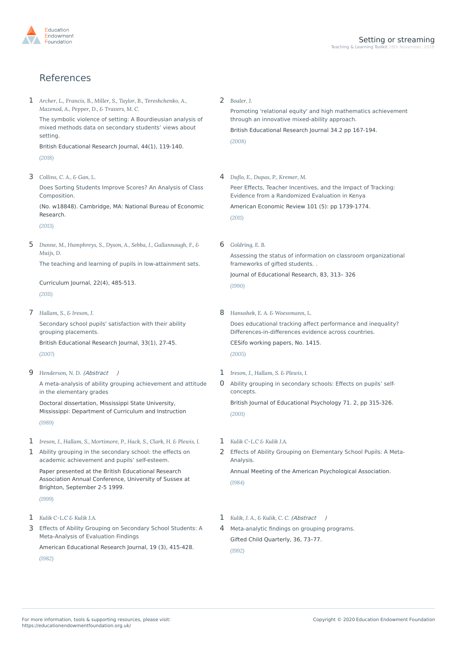

## References

*Archer, L., Francis, B., Miller, S., Taylor, B., Tereshchenko, A.,* 1 *Mazenod, A., Pepper, D., & Travers, M. C.* The symbolic violence of setting: A Bourdieusian analysis of mixed methods data on secondary students' views about setting. British Educational Research Journal, 44(1), 119-140. *(2018)* 2 *Boaler, J.* through an innovative mixed-ability approach. British Educational Research Journal 34.2 pp 167-194. *(2008)* 3 *Collins, C. A., & Gan, L.* Does Sorting Students Improve Scores? An Analysis of Class [Composition.](http://www.nber.org/papers/w18848) (No. w18848). Cambridge, MA: National Bureau of Economic Research. *(2013)* 4 *Du/o, E., Dupas, P., Kremer, M.* Evidence from a [Randomized](http://dx.doi.org/10.1257/aer.101.5.1739) Evaluation in Kenya American Economic Review 101 (5): pp 1739-1774. *(2011) Dunne, M., Humphreys, S., Dyson, A., Sebba, J., Gallannaugh, F., & Muijs, D.* 5 The teaching and learning of pupils in [low-attainment](http://dx.doi.org/10.1080/09585176.2011.627206) sets. Curriculum Journal, 22(4), 485-513. *(2011)* 6 *Goldring, E. B.* frameworks of gifted students. . Journal of Educational Research, 83, 313– 326 *(1990)* 7 *Hallam, S., & Ireson, J.* Secondary school pupils' satisfaction with their ability grouping [placements.](http://dx.doi.org/10.1080/01411920601104342) British Educational Research Journal, 33(1), 27-45. *(2007)* 8 *Hanushek, E. A. & Woessmann, L.* [Differences-in-differences](http://hdl.handle.net/10419/18779.) evidence across countries. CESifo working papers, No. 1415. *(2005)* 9 *Henderson, N. D.* [\(Abstract](#page-8-0) ) A meta-analysis of ability grouping achievement and attitude in the elementary grades 1 *Ireson, J., Hallam, S. & Plewis, I.*

Doctoral dissertation, Mississippi State University, Mississippi: Department of Curriculum and Instruction *(1989)*

- 1 *Ireson, J., Hallam, S., Mortimore, P., Hack, S., Clark, H. & Plewis, I.*
- 1 Ability grouping in the secondary school: the effects on academic [achievement](http://www.leeds.ac.uk/educol/documents/00001359.htm) and pupils' self-esteem.

Paper presented at the British Educational Research Association Annual Conference, University of Sussex at Brighton, September 2-5 1999. *(1999)*

- 1 *Kulik C-L.C & Kulik J.A.*
- 3 Effects of Ability Grouping on Secondary School Students: A [Meta-Analysis](http://dx.doi.org/10.3102/00028312019003415) of Evaluation Findings

American Educational Research Journal, 19 (3), 415-428.

*(1982)*

Promoting 'relational equity' and high [mathematics](http://dx.doi.org/10.1080/01411920701532145) achievement

Peer Effects, Teacher Incentives, and the Impact of Tracking:

Assessing the status of information on classroom [organizational](http://dx.doi.org/10.1080/00220671.1990.1088597)

- Does educational tracking affect performance and inequality?
- 0 Ability grouping in [secondary](http://dx.doi.org/10.1348/000709901158541) schools: Effects on pupils' selfconcepts.

British Journal of Educational Psychology 71. 2, pp 315-326. *(2001)*

- 1 *Kulik C-L.C & Kulik J.A.*
- 2 Effects of Ability Grouping on [Elementary](http://eric.ed.gov/?id=ED255329%20) School Pupils: A Meta-Analysis.

Annual Meeting of the American Psychological Association. *(1984)*

- 1 *Kulik, J. A., & Kulik, C. C.* [\(Abstract](#page-8-1) )
- 4 [Meta-analytic](http://dx.doi.org/10.1177/001698629203600204) findings on grouping programs. Gifted Child Quarterly, 36, 73–77.

*(1992)*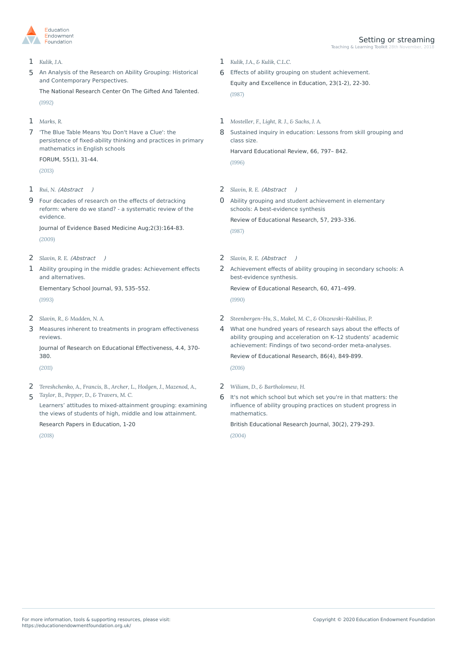

### 1 *Kulik, J.A.*

5 An Analysis of the Research on Ability Grouping: Historical and [Contemporary](http://eric.ed.gov/?id=ED350777) Perspectives.

The National Research Center On The Gifted And Talented. *(1992)*

- 1 *Marks, R.*
- 7 'The Blue Table Means You Don't Have a Clue': the persistence of fixed-ability thinking and practices in primary [mathematics](http://dx.doi.org/10.2304/forum.2013.55.1.31) in English schools

FORUM, 55(1), 31-44.

*(2013)*

- 1 *Rui, N.* [\(Abstract](#page-8-2) )
- 9 Four decades of research on the effects of detracking reform: where do we stand? - a [systematic](doi:%2010.1111/j.1756-5391.2009.01032.x.) review of the evidence.

Journal of Evidence Based Medicine Aug;2(3):164-83.

*(2009)*

- 2 *Slavin, R. E.* [\(Abstract](#page-9-1) )
- 1 Ability grouping in the middle grades: [Achievement](http://dx.doi.org/10.1086/461739) effects and alternatives.

Elementary School Journal, 93, 535–552.

*(1993)*

- 2 *Slavin, R., & Madden, N. A.*
- 3 Measures inherent to treatments in program [effectiveness](http://dx.doi.org/10.1080/19345747.2011.558986) reviews.

Journal of Research on Educational Effectiveness, 4.4, 370- 380.

*(2011)*

- *Tereshchenko, A., Francis, B., Archer, L., Hodgen, J., Mazenod, A.,* 2
- *Taylor, B., Pepper, D., & Travers, M. C.* 5

Learners' attitudes to mixed-attainment grouping: examining the views of students of high, middle and low attainment.

Research Papers in Education, 1-20

*(2018)*

- 1 *Kulik, J.A., & Kulik, C.L.C.*
- 6 Effects of ability grouping on student [achievement.](http://dx.doi.org/10.1080/1066568870230105) Equity and Excellence in Education, 23(1-2), 22-30. *(1987)*
- 1 *Mosteller, F., Light, R. J., & Sachs, J. A.*
- 8 Sustained inquiry in [education:](http://dx.doi.org/10.17763/haer.66.4.36m328762x21610x) Lessons from skill grouping and class size.

Harvard Educational Review, 66, 797– 842.

*(1996)*

2 *Slavin, R. E.* [\(Abstract](#page-9-0) )

0 Ability grouping and student achievement in elementary schools: A [best-evidence](http://dx.doi.org/10.3102/00346543057003293) synthesis

Review of Educational Research, 57, 293–336.

*(1987)*

- 2 *Slavin, R. E.* [\(Abstract](#page-9-2) )
- 2 [Achievement](http://dx.doi.org/10.3102/00346543060003471) effects of ability grouping in secondary schools: A best-evidence synthesis.

Review of Educational Research, 60, 471–499.

*(1990)*

- 2 *Steenbergen-Hu, S., Makel, M. C., & Olszewski-Kubilius, P.*
- 4 What one hundred years of research says about the effects of ability grouping and acceleration on K–12 students' academic achievement: Findings of two second-order meta-analyses.

Review of Educational Research, 86(4), 849-899.

*(2016)*

- 2 *Wiliam, D., & Bartholomew, H.*
- 6 It's not which school but which set you're in that matters: the influence of ability grouping practices on student progress in mathematics.

British Educational Research Journal, 30(2), 279-293.

*(2004)*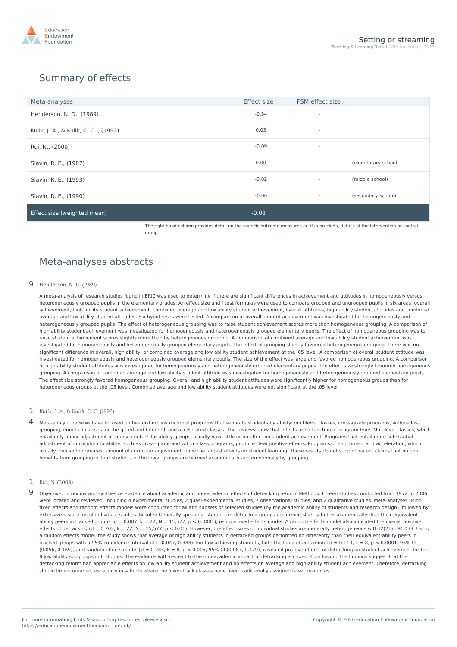

# Summary of effects

| Meta-analyses                        | <b>Effect size</b> | FSM effect size          |                     |
|--------------------------------------|--------------------|--------------------------|---------------------|
| Henderson, N. D., (1989)             | $-0.34$            | $\overline{\phantom{a}}$ |                     |
| Kulik, J. A., & Kulik, C. C., (1992) | 0.03               | $\overline{\phantom{a}}$ |                     |
| Rui, N., (2009)                      | $-0.09$            | $\overline{\phantom{a}}$ |                     |
| Slavin, R. E., (1987)                | 0.00               | $\sim$                   | (elementary school) |
| Slavin, R. E., (1993)                | $-0.02$            | $\sim$                   | (middle school)     |
| Slavin, R. E., (1990)                | $-0.06$            | $\sim$                   | (secondary school)  |
| Effect size (weighted mean)          | $-0.08$            |                          |                     |

The right hand column provides detail on the specific outcome measures or, if in brackets, details of the intervention or control group.

## Meta-analyses abstracts

#### <span id="page-8-0"></span>9 *Henderson, N. D. (1989)*

A meta-analysis of research studies found in ERIC was used to determine if there are significant differences in achievement and attitudes in homogeneously versus heterogeneously grouped pupils in the elementary grades. An effect size and f test formulas were used to compare grouped and ungrouped pupils in six areas: overall achievement, high ability student achievement, combined average and low ability student achievement, overall attitudes, high ability student attitudes and combined average and low ability student attitudes. Six hypotheses were tested. A comparison of overall student achievement was investigated for homogeneously and heterogeneously grouped pupils. The effect of heterogeneous grouping was to raise student achievement scores more than homogeneous grouping. A comparison of high ability student achievement was investigated for homogeneously and heterogeneously grouped elementary pupils. The effect of homogeneous grouping was to raise student achievement scores slightly more than by heterogeneous grouping. A comparison of combined average and low ability student achievement was investigated for homogeneously and heterogeneously grouped elementary pupils. The effect of grouping slightly favoured heterogeneous grouping. There was no significant difference in overall, high ability, or combined average and low ability student achievement at the .05 level. A comparison of overall student attitude was investigated for homogeneously and heterogeneously grouped elementary pupils. The size of the effect was large and favored homogeneous grouping. A comparison of high ability student attitudes was investigated for homogeneously and heterogeneously grouped elementary pupils. The effect size strongly favoured homogeneous grouping. A comparison of combined average and low ability student attitude was investigated for homogeneously and heterogeneously grouped elementary pupils. The effect size strongly favored homogeneous grouping. Overall and high ability student attitudes were significantly higher for homogeneous groups than for heterogeneous groups at the .05 level. Combined average and low ability student attitudes were not significant at the .05 level.

- <span id="page-8-1"></span>1 *Kulik, J. A., & Kulik, C. C. (1992)*
- 4 Meta-analytic reviews have focused on five distinct instructional programs that separate students by ability: multilevel classes, cross-grade programs, within-class grouping, enriched classes for the gifted and talented, and accelerated classes. The reviews show that effects are a function of program type. Multilevel classes, which entail only minor adjustment of course content for ability groups, usually have little or no effect on student achievement. Programs that entail more substantial adjustment of curriculum to ability, such as cross-grade and within-class programs, produce clear positive effects. Programs of enrichment and acceleration, which usually involve the greatest amount of curricular adjustment, have the largest effects on student learning. These results do not support recent claims that no one benefits from grouping or that students in the lower groups are harmed academically and emotionally by grouping.

#### <span id="page-8-2"></span>1 *Rui, N. (2009)*

9 Objective: To review and synthesize evidence about academic and non-academic effects of detracking reform. Methods: Fifteen studies conducted from <sup>1972</sup> to <sup>2006</sup> were located and reviewed, including 4 experimental studies, 2 quasi-experimental studies, 7 observational studies, and 2 qualitative studies. Meta-analyses using fixed effects and random effects models were conducted for all and subsets of selected studies (by the academic ability of students and research design), followed by extensive discussion of individual studies. Results: Generally speaking, students in detracked groups performed slightly better academically than their equivalentability peers in tracked groups (d = 0.087, k = 22, N = 15,577, p < 0.0001), using a fixed effects model. A random effects model also indicated the overall positive effects of detracking (d = 0.202, k = 22, N = 15,577, p < 0.01). However, the effect sizes of individual studies are generally heterogeneous with  $12(21)=94.033$ . Using a random effects model, the study shows that average or high ability students in detracked groups performed no differently than their equivalent-ability peers in tracked groups with a 95% confidence interval of (-0.047, 0.388). For low-achieving students, both the fixed effects model d = 0.113, k = 8, p < 0.0001, 95% CI  $(0.056, 0.169)$ ] and random effects model [d = 0.283, k = 8, p < 0.005, 95% CI (0.087, 0.479)] revealed positive effects of detracking on student achievement for the 8 low-ability subgroups in 6 studies. The evidence with respect to the non-academic impact of detracking is mixed. Conclusion: The findings suggest that the detracking reform had appreciable effects on low-ability student achievement and no effects on average and high-ability student achievement. Therefore, [detracking](https://educationendowmentfoundation.org.uk/) should be [encouraged,](https://educationendowmentfoundation.org.uk/) especially in schools where the lower-track classes have been traditionally assigned fewer resources.